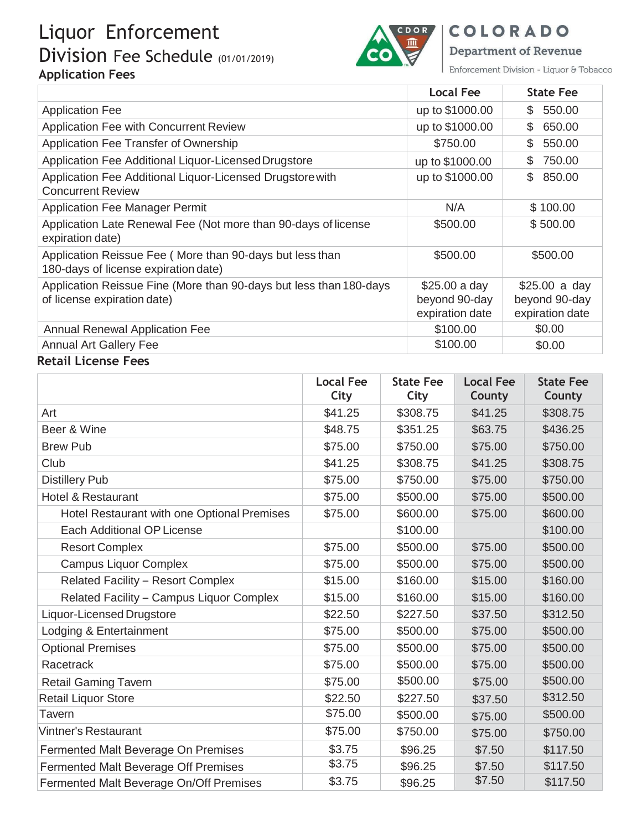# Liquor Enforcement Division Fee Schedule (01/01/2019) **Application Fees**



COLORADO

**Department of Revenue** 

Enforcement Division - Liquor & Tobacco

|                                                                                                   | Local Fee                                         | <b>State Fee</b>                                   |
|---------------------------------------------------------------------------------------------------|---------------------------------------------------|----------------------------------------------------|
| <b>Application Fee</b>                                                                            | up to \$1000.00                                   | 550.00<br>S.                                       |
| Application Fee with Concurrent Review                                                            | up to \$1000.00                                   | 650.00<br>\$                                       |
| Application Fee Transfer of Ownership                                                             | \$750.00                                          | 550.00<br>S.                                       |
| Application Fee Additional Liquor-Licensed Drugstore                                              | up to \$1000.00                                   | 750.00<br>\$                                       |
| Application Fee Additional Liquor-Licensed Drugstore with<br><b>Concurrent Review</b>             | up to \$1000.00                                   | 850.00<br>\$.                                      |
| <b>Application Fee Manager Permit</b>                                                             | N/A                                               | \$100.00                                           |
| Application Late Renewal Fee (Not more than 90-days of license<br>expiration date)                | \$500.00                                          | \$500.00                                           |
| Application Reissue Fee (More than 90-days but less than<br>180-days of license expiration date)  | \$500.00                                          | \$500.00                                           |
| Application Reissue Fine (More than 90-days but less than 180-days<br>of license expiration date) | \$25.00 a day<br>beyond 90-day<br>expiration date | $$25.00$ a day<br>beyond 90-day<br>expiration date |
| <b>Annual Renewal Application Fee</b>                                                             | \$100.00                                          | \$0.00                                             |
| <b>Annual Art Gallery Fee</b>                                                                     | \$100.00                                          | \$0.00                                             |

#### **Retail License Fees**

|                                             | <b>Local Fee</b><br>City | <b>State Fee</b><br>City | <b>Local Fee</b><br>County | <b>State Fee</b><br>County |
|---------------------------------------------|--------------------------|--------------------------|----------------------------|----------------------------|
| Art                                         | \$41.25                  | \$308.75                 | \$41.25                    | \$308.75                   |
| Beer & Wine                                 | \$48.75                  | \$351.25                 | \$63.75                    | \$436.25                   |
| <b>Brew Pub</b>                             | \$75.00                  | \$750.00                 | \$75.00                    | \$750.00                   |
| Club                                        | \$41.25                  | \$308.75                 | \$41.25                    | \$308.75                   |
| <b>Distillery Pub</b>                       | \$75.00                  | \$750.00                 | \$75.00                    | \$750.00                   |
| <b>Hotel &amp; Restaurant</b>               | \$75.00                  | \$500.00                 | \$75.00                    | \$500.00                   |
| Hotel Restaurant with one Optional Premises | \$75.00                  | \$600.00                 | \$75.00                    | \$600.00                   |
| Each Additional OP License                  |                          | \$100.00                 |                            | \$100.00                   |
| <b>Resort Complex</b>                       | \$75.00                  | \$500.00                 | \$75.00                    | \$500.00                   |
| <b>Campus Liquor Complex</b>                | \$75.00                  | \$500.00                 | \$75.00                    | \$500.00                   |
| Related Facility - Resort Complex           | \$15.00                  | \$160.00                 | \$15.00                    | \$160.00                   |
| Related Facility - Campus Liquor Complex    | \$15.00                  | \$160.00                 | \$15.00                    | \$160.00                   |
| <b>Liquor-Licensed Drugstore</b>            | \$22.50                  | \$227.50                 | \$37.50                    | \$312.50                   |
| Lodging & Entertainment                     | \$75.00                  | \$500.00                 | \$75.00                    | \$500.00                   |
| <b>Optional Premises</b>                    | \$75.00                  | \$500.00                 | \$75.00                    | \$500.00                   |
| Racetrack                                   | \$75.00                  | \$500.00                 | \$75.00                    | \$500.00                   |
| <b>Retail Gaming Tavern</b>                 | \$75.00                  | \$500.00                 | \$75.00                    | \$500.00                   |
| <b>Retail Liquor Store</b>                  | \$22.50                  | \$227.50                 | \$37.50                    | \$312.50                   |
| Tavern                                      | \$75.00                  | \$500.00                 | \$75.00                    | \$500.00                   |
| <b>Vintner's Restaurant</b>                 | \$75.00                  | \$750.00                 | \$75.00                    | \$750.00                   |
| Fermented Malt Beverage On Premises         | \$3.75                   | \$96.25                  | \$7.50                     | \$117.50                   |
| Fermented Malt Beverage Off Premises        | \$3.75                   | \$96.25                  | \$7.50                     | \$117.50                   |
| Fermented Malt Beverage On/Off Premises     | \$3.75                   | \$96.25                  | \$7.50                     | \$117.50                   |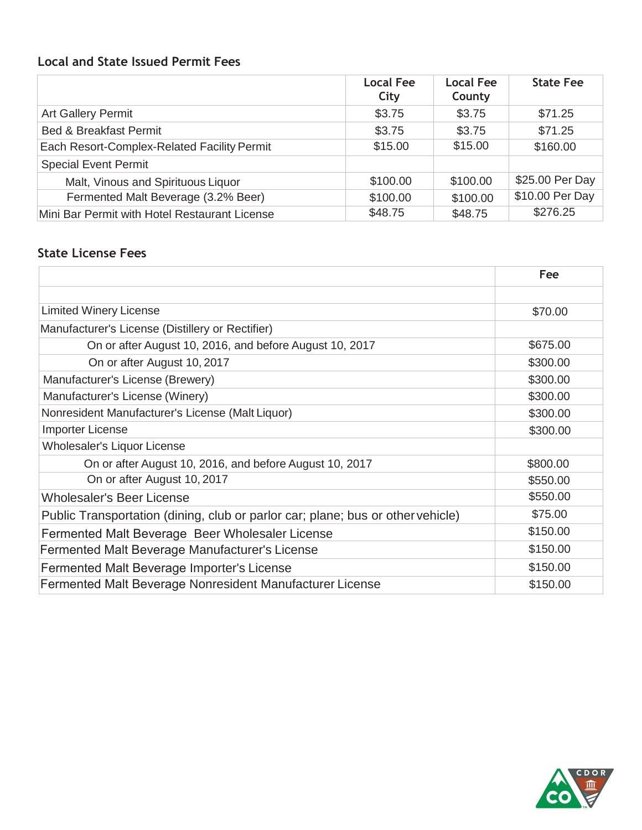### **Local and State Issued Permit Fees**

|                                               | <b>Local Fee</b><br>City | <b>Local Fee</b><br>County | <b>State Fee</b> |
|-----------------------------------------------|--------------------------|----------------------------|------------------|
| <b>Art Gallery Permit</b>                     | \$3.75                   | \$3.75                     | \$71.25          |
| <b>Bed &amp; Breakfast Permit</b>             | \$3.75                   | \$3.75                     | \$71.25          |
| Each Resort-Complex-Related Facility Permit   | \$15.00                  | \$15.00                    | \$160.00         |
| <b>Special Event Permit</b>                   |                          |                            |                  |
| Malt, Vinous and Spirituous Liquor            | \$100.00                 | \$100.00                   | \$25.00 Per Day  |
| Fermented Malt Beverage (3.2% Beer)           | \$100.00                 | \$100.00                   | \$10.00 Per Day  |
| Mini Bar Permit with Hotel Restaurant License | \$48.75                  | \$48.75                    | \$276.25         |

#### **State License Fees**

|                                                                                 | Fee      |
|---------------------------------------------------------------------------------|----------|
|                                                                                 |          |
| <b>Limited Winery License</b>                                                   | \$70.00  |
| Manufacturer's License (Distillery or Rectifier)                                |          |
| On or after August 10, 2016, and before August 10, 2017                         | \$675.00 |
| On or after August 10, 2017                                                     | \$300.00 |
| Manufacturer's License (Brewery)                                                | \$300.00 |
| Manufacturer's License (Winery)                                                 | \$300.00 |
| Nonresident Manufacturer's License (Malt Liquor)                                | \$300.00 |
| <b>Importer License</b>                                                         | \$300.00 |
| Wholesaler's Liquor License                                                     |          |
| On or after August 10, 2016, and before August 10, 2017                         | \$800.00 |
| On or after August 10, 2017                                                     | \$550.00 |
| <b>Wholesaler's Beer License</b>                                                | \$550.00 |
| Public Transportation (dining, club or parlor car; plane; bus or other vehicle) | \$75.00  |
| Fermented Malt Beverage Beer Wholesaler License                                 | \$150.00 |
| Fermented Malt Beverage Manufacturer's License                                  | \$150.00 |
| Fermented Malt Beverage Importer's License                                      | \$150.00 |
| Fermented Malt Beverage Nonresident Manufacturer License                        | \$150.00 |